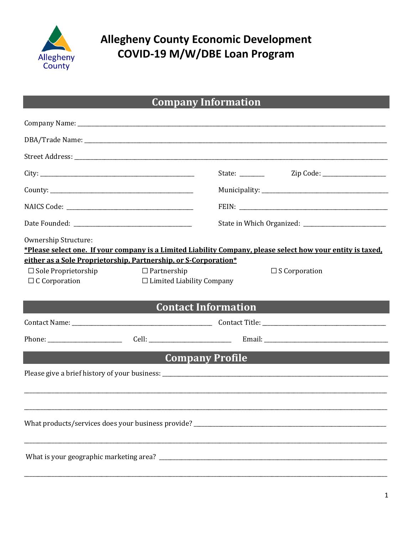

# **Allegheny County Economic Development** COVID-19 M/W/DBE Loan Program

# **Company Information**

|                                                                                         |                                                        |                            | Zip Code: _____________________                                                                             |
|-----------------------------------------------------------------------------------------|--------------------------------------------------------|----------------------------|-------------------------------------------------------------------------------------------------------------|
|                                                                                         |                                                        |                            |                                                                                                             |
|                                                                                         |                                                        |                            |                                                                                                             |
|                                                                                         |                                                        |                            |                                                                                                             |
| Ownership Structure:<br>either as a Sole Proprietorship, Partnership, or S-Corporation* |                                                        |                            | *Please select one. If your company is a Limited Liability Company, please select how your entity is taxed. |
| $\Box$ Sole Proprietorship<br>$\Box$ C Corporation                                      | $\Box$ Partnership<br>$\Box$ Limited Liability Company |                            | $\Box$ S Corporation                                                                                        |
|                                                                                         |                                                        | <b>Contact Information</b> |                                                                                                             |
|                                                                                         |                                                        |                            |                                                                                                             |
|                                                                                         |                                                        |                            |                                                                                                             |
| <u> Andrew Maria (1985)</u>                                                             |                                                        | <b>Company Profile</b>     |                                                                                                             |
|                                                                                         |                                                        |                            |                                                                                                             |
| What products/services does your business provide?                                      |                                                        |                            |                                                                                                             |
|                                                                                         |                                                        |                            |                                                                                                             |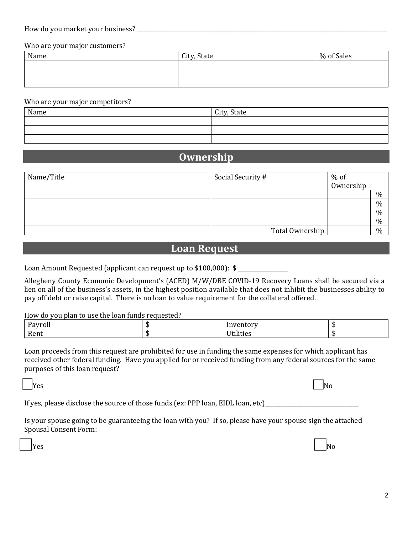| How do you market your<br>business |  |
|------------------------------------|--|
|------------------------------------|--|

Who are your major customers?

| Name | City, State | % of Sales |
|------|-------------|------------|
|      |             |            |
|      |             |            |
|      |             |            |

#### Who are your major competitors?

| Name | City, State |
|------|-------------|
|      |             |
|      |             |
|      |             |

### **Ownership**

| Name/Title | Social Security # | $%$ of    |               |
|------------|-------------------|-----------|---------------|
|            |                   | Ownership |               |
|            |                   |           | $\frac{0}{0}$ |
|            |                   |           | $\%$          |
|            |                   |           | $\%$          |
|            |                   |           | $\frac{0}{0}$ |
|            | Total Ownership   |           | $\frac{0}{0}$ |

### **Loan Request**

Loan Amount Requested (applicant can request up to  $$100,000$ ):  $$$ 

Allegheny County Economic Development's (ACED) M/W/DBE COVID-19 Recovery Loans shall be secured via a lien on all of the business's assets, in the highest position available that does not inhibit the businesses ability to pay off debt or raise capital. There is no loan to value requirement for the collateral offered.

#### How do you plan to use the loan funds requested?

| IATMA<br>а۷<br>чот. |                        |  |
|---------------------|------------------------|--|
| Rent                | . <del>.</del><br>iue: |  |

Loan proceeds from this request are prohibited for use in funding the same expenses for which applicant has received other federal funding. Have you applied for or received funding from any federal sources for the same purposes of this loan request?

 $\Box$ Yes  $\Box$ 

| ۰,<br>× |
|---------|
|---------|

If yes, please disclose the source of those funds (ex: PPP loan, EIDL loan, etc)\_\_\_\_\_\_\_\_\_\_\_\_\_\_\_\_\_\_\_\_\_\_\_\_\_\_\_\_\_\_

Is your spouse going to be guaranteeing the loan with you? If so, please have your spouse sign the attached Spousal Consent Form:

 $\Box$ Yes  $\Box$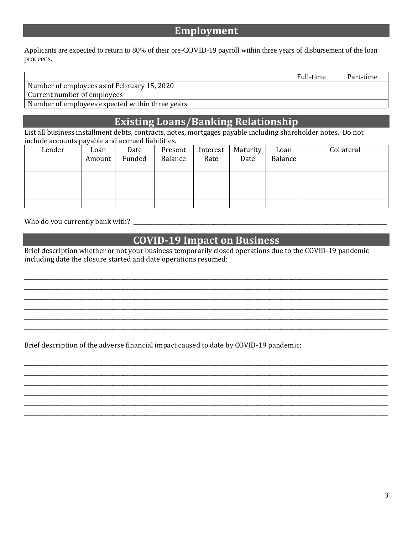### **Employment**

Applicants are expected to return to 80% of their pre-COVID-19 payroll within three years of disbursement of the loan proceeds.

|                                                 | Full-time | Part-time |
|-------------------------------------------------|-----------|-----------|
| Number of employees as of February 15, 2020     |           |           |
| Current number of employees                     |           |           |
| Number of employees expected within three years |           |           |

### **Existing Loans/Banking Relationship**

List all business installment debts, contracts, notes, mortgages payable including shareholder notes. Do not include accounts payable and accrued liabilities.

| Lender | Loan   | Date   | Present | Interest | Maturity | Loan    | Collateral |
|--------|--------|--------|---------|----------|----------|---------|------------|
|        | Amount | Funded | Balance | Rate     | Date     | Balance |            |
|        |        |        |         |          |          |         |            |
|        |        |        |         |          |          |         |            |
|        |        |        |         |          |          |         |            |
|        |        |        |         |          |          |         |            |
|        |        |        |         |          |          |         |            |

Who do you currently bank with? \_\_\_\_\_\_\_\_\_\_\_\_\_\_\_\_\_\_\_\_\_\_\_\_\_\_\_\_\_\_\_\_\_\_\_\_\_\_\_\_\_\_\_\_\_\_\_\_\_\_\_\_\_\_\_\_\_\_\_\_\_\_\_\_\_\_\_\_\_\_\_\_\_\_\_\_\_\_\_\_\_\_\_\_\_\_\_\_\_\_\_\_

## **COVID-19 Impact on Business**

\_\_\_\_\_\_\_\_\_\_\_\_\_\_\_\_\_\_\_\_\_\_\_\_\_\_\_\_\_\_\_\_\_\_\_\_\_\_\_\_\_\_\_\_\_\_\_\_\_\_\_\_\_\_\_\_\_\_\_\_\_\_\_\_\_\_\_\_\_\_\_\_\_\_\_\_\_\_\_\_\_\_\_\_\_\_\_\_\_\_\_\_\_\_\_\_\_\_\_\_\_\_\_\_\_\_\_\_\_\_\_\_\_\_\_\_\_\_\_\_\_\_\_\_\_\_\_\_\_\_\_\_ \_\_\_\_\_\_\_\_\_\_\_\_\_\_\_\_\_\_\_\_\_\_\_\_\_\_\_\_\_\_\_\_\_\_\_\_\_\_\_\_\_\_\_\_\_\_\_\_\_\_\_\_\_\_\_\_\_\_\_\_\_\_\_\_\_\_\_\_\_\_\_\_\_\_\_\_\_\_\_\_\_\_\_\_\_\_\_\_\_\_\_\_\_\_\_\_\_\_\_\_\_\_\_\_\_\_\_\_\_\_\_\_\_\_\_\_\_\_\_\_\_\_\_\_\_\_\_\_\_\_\_\_ \_\_\_\_\_\_\_\_\_\_\_\_\_\_\_\_\_\_\_\_\_\_\_\_\_\_\_\_\_\_\_\_\_\_\_\_\_\_\_\_\_\_\_\_\_\_\_\_\_\_\_\_\_\_\_\_\_\_\_\_\_\_\_\_\_\_\_\_\_\_\_\_\_\_\_\_\_\_\_\_\_\_\_\_\_\_\_\_\_\_\_\_\_\_\_\_\_\_\_\_\_\_\_\_\_\_\_\_\_\_\_\_\_\_\_\_\_\_\_\_\_\_\_\_\_\_\_\_\_\_\_\_ \_\_\_\_\_\_\_\_\_\_\_\_\_\_\_\_\_\_\_\_\_\_\_\_\_\_\_\_\_\_\_\_\_\_\_\_\_\_\_\_\_\_\_\_\_\_\_\_\_\_\_\_\_\_\_\_\_\_\_\_\_\_\_\_\_\_\_\_\_\_\_\_\_\_\_\_\_\_\_\_\_\_\_\_\_\_\_\_\_\_\_\_\_\_\_\_\_\_\_\_\_\_\_\_\_\_\_\_\_\_\_\_\_\_\_\_\_\_\_\_\_\_\_\_\_\_\_\_\_\_\_\_ \_\_\_\_\_\_\_\_\_\_\_\_\_\_\_\_\_\_\_\_\_\_\_\_\_\_\_\_\_\_\_\_\_\_\_\_\_\_\_\_\_\_\_\_\_\_\_\_\_\_\_\_\_\_\_\_\_\_\_\_\_\_\_\_\_\_\_\_\_\_\_\_\_\_\_\_\_\_\_\_\_\_\_\_\_\_\_\_\_\_\_\_\_\_\_\_\_\_\_\_\_\_\_\_\_\_\_\_\_\_\_\_\_\_\_\_\_\_\_\_\_\_\_\_\_\_\_\_\_\_\_\_ \_\_\_\_\_\_\_\_\_\_\_\_\_\_\_\_\_\_\_\_\_\_\_\_\_\_\_\_\_\_\_\_\_\_\_\_\_\_\_\_\_\_\_\_\_\_\_\_\_\_\_\_\_\_\_\_\_\_\_\_\_\_\_\_\_\_\_\_\_\_\_\_\_\_\_\_\_\_\_\_\_\_\_\_\_\_\_\_\_\_\_\_\_\_\_\_\_\_\_\_\_\_\_\_\_\_\_\_\_\_\_\_\_\_\_\_\_\_\_\_\_\_\_\_\_\_\_\_\_\_\_\_

\_\_\_\_\_\_\_\_\_\_\_\_\_\_\_\_\_\_\_\_\_\_\_\_\_\_\_\_\_\_\_\_\_\_\_\_\_\_\_\_\_\_\_\_\_\_\_\_\_\_\_\_\_\_\_\_\_\_\_\_\_\_\_\_\_\_\_\_\_\_\_\_\_\_\_\_\_\_\_\_\_\_\_\_\_\_\_\_\_\_\_\_\_\_\_\_\_\_\_\_\_\_\_\_\_\_\_\_\_\_\_\_\_\_\_\_\_\_\_\_\_\_\_\_\_\_\_\_\_\_\_\_ \_\_\_\_\_\_\_\_\_\_\_\_\_\_\_\_\_\_\_\_\_\_\_\_\_\_\_\_\_\_\_\_\_\_\_\_\_\_\_\_\_\_\_\_\_\_\_\_\_\_\_\_\_\_\_\_\_\_\_\_\_\_\_\_\_\_\_\_\_\_\_\_\_\_\_\_\_\_\_\_\_\_\_\_\_\_\_\_\_\_\_\_\_\_\_\_\_\_\_\_\_\_\_\_\_\_\_\_\_\_\_\_\_\_\_\_\_\_\_\_\_\_\_\_\_\_\_\_\_\_\_\_ \_\_\_\_\_\_\_\_\_\_\_\_\_\_\_\_\_\_\_\_\_\_\_\_\_\_\_\_\_\_\_\_\_\_\_\_\_\_\_\_\_\_\_\_\_\_\_\_\_\_\_\_\_\_\_\_\_\_\_\_\_\_\_\_\_\_\_\_\_\_\_\_\_\_\_\_\_\_\_\_\_\_\_\_\_\_\_\_\_\_\_\_\_\_\_\_\_\_\_\_\_\_\_\_\_\_\_\_\_\_\_\_\_\_\_\_\_\_\_\_\_\_\_\_\_\_\_\_\_\_\_\_ \_\_\_\_\_\_\_\_\_\_\_\_\_\_\_\_\_\_\_\_\_\_\_\_\_\_\_\_\_\_\_\_\_\_\_\_\_\_\_\_\_\_\_\_\_\_\_\_\_\_\_\_\_\_\_\_\_\_\_\_\_\_\_\_\_\_\_\_\_\_\_\_\_\_\_\_\_\_\_\_\_\_\_\_\_\_\_\_\_\_\_\_\_\_\_\_\_\_\_\_\_\_\_\_\_\_\_\_\_\_\_\_\_\_\_\_\_\_\_\_\_\_\_\_\_\_\_\_\_\_\_\_ \_\_\_\_\_\_\_\_\_\_\_\_\_\_\_\_\_\_\_\_\_\_\_\_\_\_\_\_\_\_\_\_\_\_\_\_\_\_\_\_\_\_\_\_\_\_\_\_\_\_\_\_\_\_\_\_\_\_\_\_\_\_\_\_\_\_\_\_\_\_\_\_\_\_\_\_\_\_\_\_\_\_\_\_\_\_\_\_\_\_\_\_\_\_\_\_\_\_\_\_\_\_\_\_\_\_\_\_\_\_\_\_\_\_\_\_\_\_\_\_\_\_\_\_\_\_\_\_\_\_\_\_ \_\_\_\_\_\_\_\_\_\_\_\_\_\_\_\_\_\_\_\_\_\_\_\_\_\_\_\_\_\_\_\_\_\_\_\_\_\_\_\_\_\_\_\_\_\_\_\_\_\_\_\_\_\_\_\_\_\_\_\_\_\_\_\_\_\_\_\_\_\_\_\_\_\_\_\_\_\_\_\_\_\_\_\_\_\_\_\_\_\_\_\_\_\_\_\_\_\_\_\_\_\_\_\_\_\_\_\_\_\_\_\_\_\_\_\_\_\_\_\_\_\_\_\_\_\_\_\_\_\_\_\_

Brief description whether or not your business temporarily closed operations due to the COVID-19 pandemic including date the closure started and date operations resumed:

Brief description of the adverse financial impact caused to date by COVID-19 pandemic: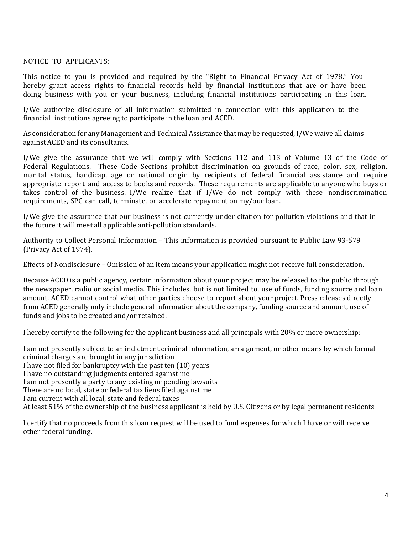#### NOTICE TO APPLICANTS:

This notice to you is provided and required by the "Right to Financial Privacy Act of 1978." You hereby grant access rights to financial records held by financial institutions that are or have been doing business with you or your business, including financial institutions participating in this loan.

I/We authorize disclosure of all information submitted in connection with this application to the financial institutions agreeing to participate in the loan and ACED.

As consideration for any Management and Technical Assistance that may be requested, I/We waive all claims against ACED and its consultants.

I/We give the assurance that we will comply with Sections 112 and 113 of Volume 13 of the Code of Federal Regulations. These Code Sections prohibit discrimination on grounds of race, color, sex, religion, marital status, handicap, age or national origin by recipients of federal financial assistance and require appropriate report and access to books and records. These requirements are applicable to anyone who buys or takes control of the business. I/We realize that if I/We do not comply with these nondiscrimination requirements, SPC can call, terminate, or accelerate repayment on my/our loan.

I/We give the assurance that our business is not currently under citation for pollution violations and that in the future it will meet all applicable anti-pollution standards.

Authority to Collect Personal Information – This information is provided pursuant to Public Law 93-579 (Privacy Act of 1974).

Effects of Nondisclosure – Omission of an item means your application might not receive full consideration.

Because ACED is a public agency, certain information about your project may be released to the public through the newspaper, radio or social media. This includes, but is not limited to, use of funds, funding source and loan amount. ACED cannot control what other parties choose to report about your project. Press releases directly from ACED generally only include general information about the company, funding source and amount, use of funds and jobs to be created and/or retained.

I hereby certify to the following for the applicant business and all principals with 20% or more ownership:

I am not presently subject to an indictment criminal information, arraignment, or other means by which formal criminal charges are brought in any jurisdiction

I have not filed for bankruptcy with the past ten (10) years

I have no outstanding judgments entered against me

I am not presently a party to any existing or pending lawsuits

There are no local, state or federal tax liens filed against me

I am current with all local, state and federal taxes

At least 51% of the ownership of the business applicant is held by U.S. Citizens or by legal permanent residents

I certify that no proceeds from this loan request will be used to fund expenses for which I have or will receive other federal funding.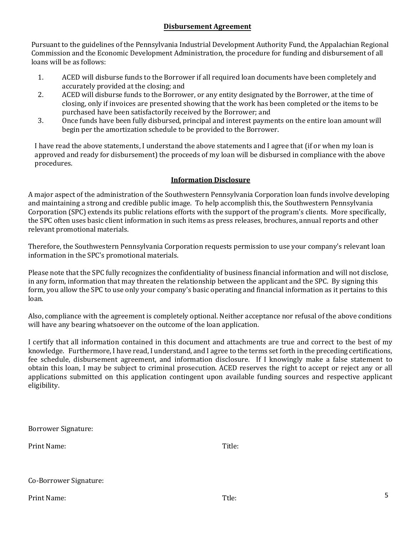#### **Disbursement Agreement**

Pursuant to the guidelines of the Pennsylvania Industrial Development Authority Fund, the Appalachian Regional Commission and the Economic Development Administration, the procedure for funding and disbursement of all loans will be as follows:

- 1. ACED will disburse funds to the Borrower if all required loan documents have been completely and accurately provided at the closing; and
- 2. ACED will disburse funds to the Borrower, or any entity designated by the Borrower, at the time of closing, only if invoices are presented showing that the work has been completed or the items to be purchased have been satisfactorily received by the Borrower; and
- 3. Once funds have been fully disbursed, principal and interest payments on the entire loan amount will begin per the amortization schedule to be provided to the Borrower.

I have read the above statements, I understand the above statements and I agree that (if or when my loan is approved and ready for disbursement) the proceeds of my loan will be disbursed in compliance with the above procedures.

### **Information Disclosure**

A major aspect of the administration of the Southwestern Pennsylvania Corporation loan funds involve developing and maintaining a strong and credible public image. To help accomplish this, the Southwestern Pennsylvania Corporation (SPC) extends its public relations efforts with the support of the program's clients. More specifically, the SPC often uses basic client information in such items as press releases, brochures, annual reports and other relevant promotional materials.

Therefore, the Southwestern Pennsylvania Corporation requests permission to use your company's relevant loan information in the SPC's promotional materials.

Please note that the SPC fully recognizes the confidentiality of business financial information and will not disclose, in any form, information that may threaten the relationship between the applicant and the SPC. By signing this form, you allow the SPC to use only your company's basic operating and financial information as it pertains to this loan.

Also, compliance with the agreement is completely optional. Neither acceptance nor refusal of the above conditions will have any bearing whatsoever on the outcome of the loan application.

I certify that all information contained in this document and attachments are true and correct to the best of my knowledge. Furthermore, I have read, I understand, and I agree to the terms set forth in the preceding certifications, fee schedule, disbursement agreement, and information disclosure. If I knowingly make a false statement to obtain this loan, I may be subject to criminal prosecution. ACED reserves the right to accept or reject any or all applications submitted on this application contingent upon available funding sources and respective applicant eligibility.

| Borrower Signature: |  |
|---------------------|--|
|---------------------|--|

Print Name: Title:

Co-Borrower Signature:

Print Name: The contract of the contract of the term of the term of the term of the term of the term of the te